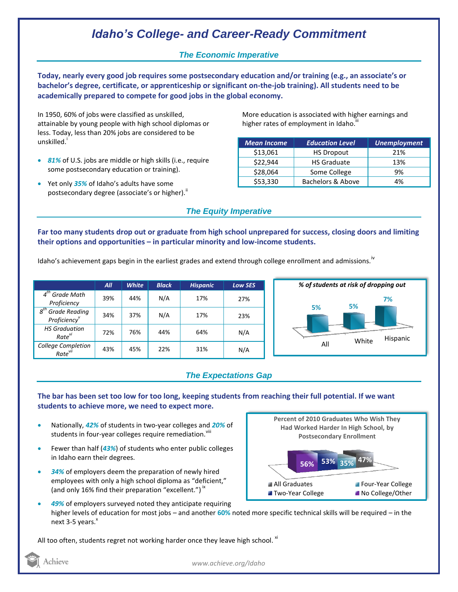# *Idaho's College- and Career-Ready Commitment*

### *The Economic Imperative*

**Today, nearly every good job requires some postsecondary education and/or training (e.g., an associate's or bachelor's degree, certificate, or apprenticeship or significant on-the-job training). All students need to be academically prepared to compete for good jobs in the global economy.**

In 1950, 60% of jobs were classified as unskilled, attainable by young people with high school diplomas or less. Today, less than 20% jobs are considered to be unskilled.<sup>1</sup>

- *81%* of U.S. jobs are middle or high skills (i.e., require some postsecondary education or training).
- Yet only *35%* of Idaho's adults have some postsecondary degree (associate's or higher).<sup>ii</sup>

More education is associated with higher earnings and higher rates of employment in Idaho.<sup>""</sup>

| <b>Mean Income</b> | <b>Education Level</b> | <b>Unemployment</b> |
|--------------------|------------------------|---------------------|
| \$13,061           | <b>HS Dropout</b>      | 21%                 |
| \$22,944           | <b>HS Graduate</b>     | 13%                 |
| \$28,064           | Some College           | 9%                  |
| \$53,330           | Bachelors & Above      | 4%                  |

### *The Equity Imperative*

**Far too many students drop out or graduate from high school unprepared for success, closing doors and limiting their options and opportunities – in particular minority and low-income students.** 

Idaho's achievement gaps begin in the earliest grades and extend through college enrollment and admissions.<sup>iv</sup>

|                                                              | All | <b>White</b> | <b>Black</b> | <b>Hispanic</b> | <b>Low SES</b> |
|--------------------------------------------------------------|-----|--------------|--------------|-----------------|----------------|
| $4th$ Grade Math<br>Proficiency                              | 39% | 44%          | N/A          | 17%             | 27%            |
| $g^{th}$<br><b>Grade Reading</b><br>Proficiency <sup>v</sup> | 34% | 37%          | N/A          | 17%             | 23%            |
| <b>HS Graduation</b><br>Rate <sup>vi</sup>                   | 72% | 76%          | 44%          | 64%             | N/A            |
| College Completion<br>Rate <sup>vii</sup>                    | 43% | 45%          | 22%          | 31%             | N/A            |



#### *The Expectations Gap*

**The bar has been set too low for too long, keeping students from reaching their full potential. If we want students to achieve more, we need to expect more.**

- Nationally, *42%* of students in two-year colleges and *20%* of students in four-year colleges require remediation. Vill
- Fewer than half (*43%*) of students who enter public colleges in Idaho earn their degrees.
- *34%* of employers deem the preparation of newly hired employees with only a high school diploma as "deficient," (and only 16% find their preparation "excellent.")<sup>ix</sup>



 *49%* of employers surveyed noted they anticipate requiring higher levels of education for most jobs – and another **60%** noted more specific technical skills will be required – in the next 3-5 years.<sup>x</sup>

All too often, students regret not working harder once they leave high school. <sup>xi</sup>

Achieve

*www.achieve.org/Idaho*